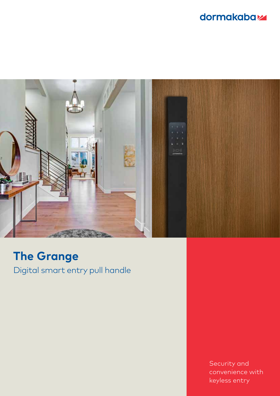### dormakabaz



## **The Grange**

Digital smart entry pull handle

Security and convenience with keyless entry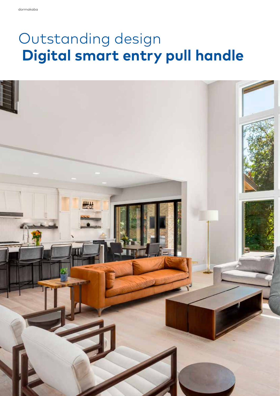# Outstanding design  **Digital smart entry pull handle**

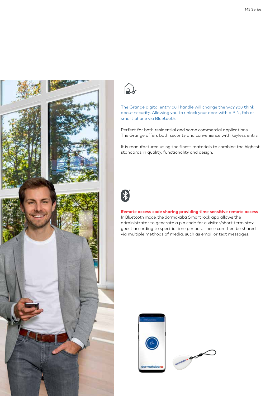



The Grange digital entry pull handle will change the way you think about security. Allowing you to unlock your door with a PIN, fob or smart phone via Bluetooth.

Perfect for both residential and some commercial applications. The Grange offers both security and convenience with keyless entry.

It is manufactured using the finest materials to combine the highest standards in quality, functionality and design.



#### **Remote access code sharing providing time sensitive remote access**

In Bluetooth mode, the dormakaba Smart lock app allows the administrator to generate a pin code for a visitor/short term stay guest according to specific time periods. These can then be shared via multiple methods of media, such as email or text messages.



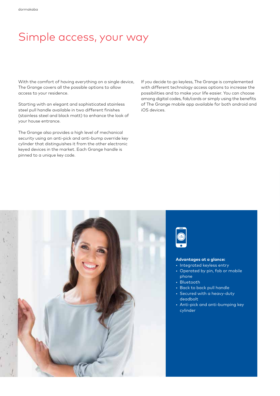### Simple access, your way

With the comfort of having everything on a single device, The Grange covers all the possible options to allow access to your residence.

Starting with an elegant and sophisticated stainless steel pull handle available in two different finishes (stainless steel and black matt) to enhance the look of your house entrance.

The Grange also provides a high level of mechanical security using an anti-pick and anti-bump override key cylinder that distinguishes it from the other electronic keyed devices in the market. Each Grange handle is pinned to a unique key code.

If you decide to go keyless, The Grange is complemented with different technology access options to increase the possibilities and to make your life easier. You can choose among digital codes, fob/cards or simply using the benefits of The Grange mobile app available for both android and iOS devices.



#### **Advantages at a glance:**

- Integrated keyless entry
- Operated by pin, fob or mobile phone
- Bluetooth
- Back to back pull handle
- Secured with a heavy-duty deadbolt
- Anti-pick and anti-bumping key cylinder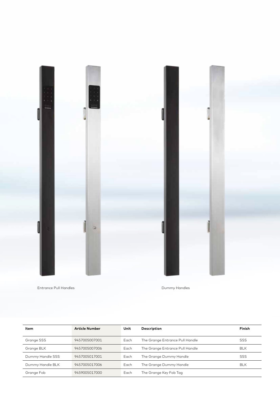

| Item             | <b>Article Number</b> | Unit | Description                     | Finish     |
|------------------|-----------------------|------|---------------------------------|------------|
| Grange SSS       | 9457005007001         | Each | The Grange Entrance Pull Handle | <b>SSS</b> |
| Grange BLK       | 9457005007006         | Each | The Grange Entrance Pull Handle | <b>BLK</b> |
| Dummy Handle SSS | 9457005017001         | Each | The Grange Dummy Handle         | <b>SSS</b> |
| Dummy Handle BLK | 9457005017006         | Each | The Grange Dummy Handle         | <b>BLK</b> |
| Grange Fob       | 9459005017000         | Each | The Grange Key Fob Tag          |            |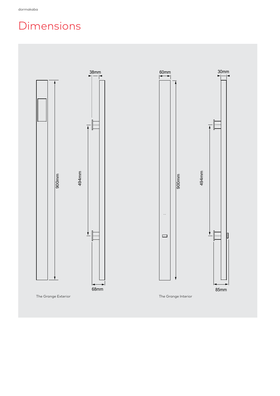### Dimensions

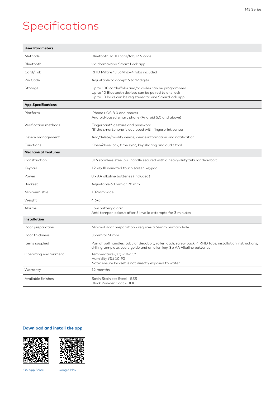### Specifications

| <b>User Parameters</b>     |                                                                                                                                                                                         |  |
|----------------------------|-----------------------------------------------------------------------------------------------------------------------------------------------------------------------------------------|--|
| Methods                    | Bluetooth, RFID card/fob, PIN code                                                                                                                                                      |  |
| Bluetooth                  | via dormakaba Smart Lock app                                                                                                                                                            |  |
| Card/Fob                   | RFID Mifare 13.56Mhz-4 fobs included                                                                                                                                                    |  |
| Pin Code                   | Adjustable to accept 6 to 12 digits                                                                                                                                                     |  |
| Storage                    | Up to 100 cards/fobs and/or codes can be programmed<br>Up to 10 Bluetooth devices can be paired to one lock<br>Up to 10 locks can be registered to one SmartLock app                    |  |
| <b>App Specifications</b>  |                                                                                                                                                                                         |  |
| Platform                   | iPhone (iOS 8.0 and above)<br>Android-based smart phone (Android 5.0 and above)                                                                                                         |  |
| Verification methods       | Fingerprint*, gesture and password<br>*if the smartphone is equipped with fingerprint sensor                                                                                            |  |
| Device management          | Add/delete/modify device, device information and notification                                                                                                                           |  |
| Functions                  | Open/close lock, time sync, key sharing and audit trail                                                                                                                                 |  |
| <b>Mechanical Features</b> |                                                                                                                                                                                         |  |
| Construction               | 316 stainless steel pull handle secured with a heavy-duty tubular deadbolt                                                                                                              |  |
| Keypad                     | 12 key Illuminated touch screen keypad                                                                                                                                                  |  |
| Power                      | 8 x AA alkaline batteries (included)                                                                                                                                                    |  |
| <b>Backset</b>             | Adjustable 60 mm or 70 mm                                                                                                                                                               |  |
| Minimum stile              | 102mm wide                                                                                                                                                                              |  |
| Weight                     | 4.6kg                                                                                                                                                                                   |  |
| Alarms                     | Low battery alarm<br>Anti-tamper lockout after 5 invalid attempts for 3 minutes                                                                                                         |  |
| <b>Installation</b>        |                                                                                                                                                                                         |  |
| Door preparation           | Minimal door preparation - requires a 54mm primary hole                                                                                                                                 |  |
| Door thickness             | 35mm to 50mm                                                                                                                                                                            |  |
| Items supplied             | Pair of pull handles, tubular deadbolt, roller latch, screw pack, 4 RFID fobs, installation instructions,<br>drilling template, users guide and an allen key, 8 x AA Alkaline batteries |  |
| Operating environment      | Temperature (°C) -10~55°<br>Humidity (%) 10-90<br>Note: ensure lockset is not directly exposed to water                                                                                 |  |
| Warranty                   | 12 months                                                                                                                                                                               |  |
| Available finishes         | Satin Stainless Steel - SSS<br>Black Powder Coat - BLK                                                                                                                                  |  |

#### **Download and install the app**





IOS App Store Google Play